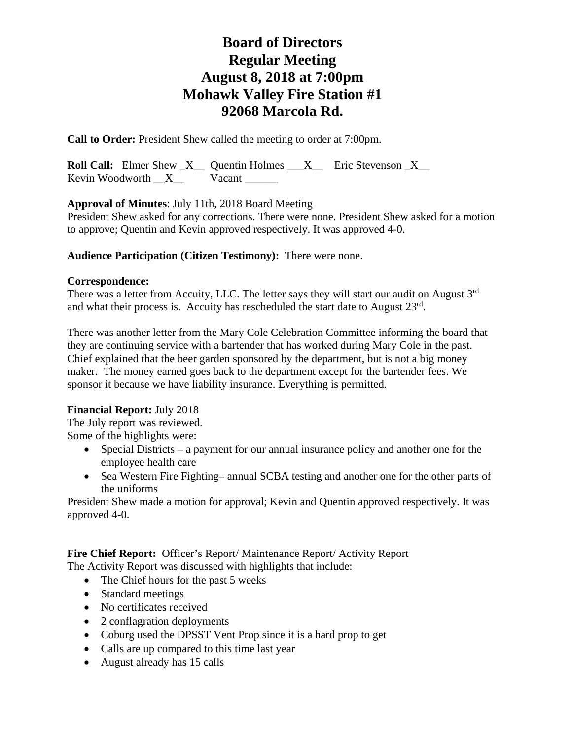**Call to Order:** President Shew called the meeting to order at 7:00pm.

**Roll Call:** Elmer Shew  $X_$  Quentin Holmes  $X_$  Eric Stevenson  $X_$ Kevin Woodworth  $X$  Vacant

**Approval of Minutes**: July 11th, 2018 Board Meeting

President Shew asked for any corrections. There were none. President Shew asked for a motion to approve; Quentin and Kevin approved respectively. It was approved 4-0.

### **Audience Participation (Citizen Testimony):** There were none.

#### **Correspondence:**

There was a letter from Accuity, LLC. The letter says they will start our audit on August 3<sup>rd</sup> and what their process is. Accuity has rescheduled the start date to August 23rd.

There was another letter from the Mary Cole Celebration Committee informing the board that they are continuing service with a bartender that has worked during Mary Cole in the past. Chief explained that the beer garden sponsored by the department, but is not a big money maker. The money earned goes back to the department except for the bartender fees. We sponsor it because we have liability insurance. Everything is permitted.

## **Financial Report:** July 2018

The July report was reviewed. Some of the highlights were:

- Special Districts a payment for our annual insurance policy and another one for the employee health care
- Sea Western Fire Fighting– annual SCBA testing and another one for the other parts of the uniforms

President Shew made a motion for approval; Kevin and Quentin approved respectively. It was approved 4-0.

Fire Chief Report: Officer's Report/ Maintenance Report/ Activity Report

- The Activity Report was discussed with highlights that include:
	- The Chief hours for the past 5 weeks
	- Standard meetings
	- No certificates received
	- 2 conflagration deployments
	- Coburg used the DPSST Vent Prop since it is a hard prop to get
	- Calls are up compared to this time last year
	- August already has 15 calls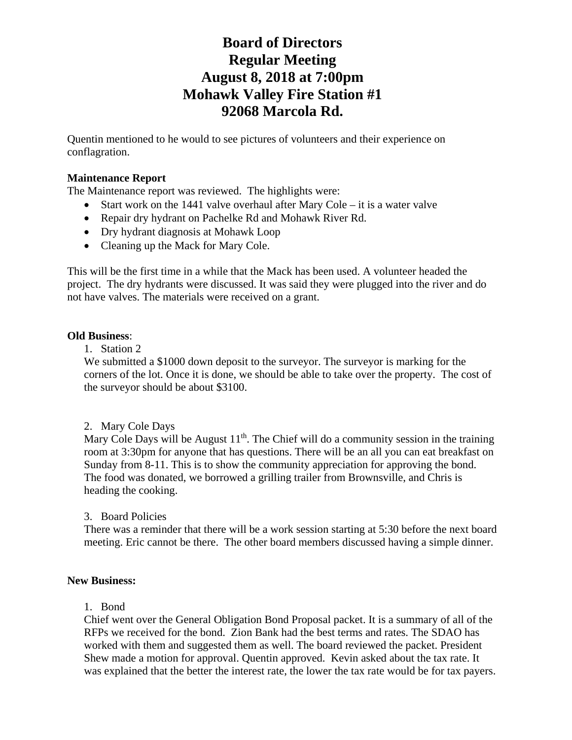Quentin mentioned to he would to see pictures of volunteers and their experience on conflagration.

### **Maintenance Report**

The Maintenance report was reviewed. The highlights were:

- Start work on the 1441 valve overhaul after Mary Cole it is a water valve
- Repair dry hydrant on Pachelke Rd and Mohawk River Rd.
- Dry hydrant diagnosis at Mohawk Loop
- Cleaning up the Mack for Mary Cole.

This will be the first time in a while that the Mack has been used. A volunteer headed the project. The dry hydrants were discussed. It was said they were plugged into the river and do not have valves. The materials were received on a grant.

#### **Old Business**:

1. Station 2

We submitted a \$1000 down deposit to the surveyor. The surveyor is marking for the corners of the lot. Once it is done, we should be able to take over the property. The cost of the surveyor should be about \$3100.

#### 2. Mary Cole Days

Mary Cole Days will be August  $11<sup>th</sup>$ . The Chief will do a community session in the training room at 3:30pm for anyone that has questions. There will be an all you can eat breakfast on Sunday from 8-11. This is to show the community appreciation for approving the bond. The food was donated, we borrowed a grilling trailer from Brownsville, and Chris is heading the cooking.

#### 3. Board Policies

There was a reminder that there will be a work session starting at 5:30 before the next board meeting. Eric cannot be there. The other board members discussed having a simple dinner.

#### **New Business:**

#### 1. Bond

Chief went over the General Obligation Bond Proposal packet. It is a summary of all of the RFPs we received for the bond. Zion Bank had the best terms and rates. The SDAO has worked with them and suggested them as well. The board reviewed the packet. President Shew made a motion for approval. Quentin approved. Kevin asked about the tax rate. It was explained that the better the interest rate, the lower the tax rate would be for tax payers.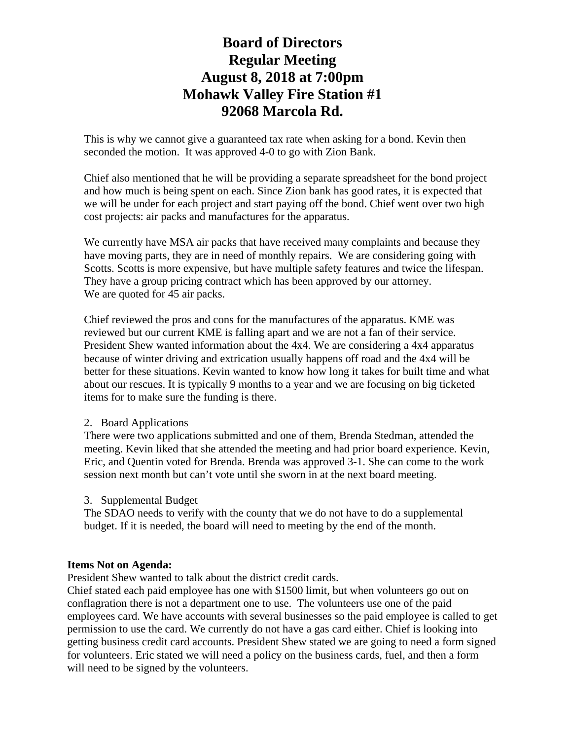This is why we cannot give a guaranteed tax rate when asking for a bond. Kevin then seconded the motion. It was approved 4-0 to go with Zion Bank.

Chief also mentioned that he will be providing a separate spreadsheet for the bond project and how much is being spent on each. Since Zion bank has good rates, it is expected that we will be under for each project and start paying off the bond. Chief went over two high cost projects: air packs and manufactures for the apparatus.

We currently have MSA air packs that have received many complaints and because they have moving parts, they are in need of monthly repairs. We are considering going with Scotts. Scotts is more expensive, but have multiple safety features and twice the lifespan. They have a group pricing contract which has been approved by our attorney. We are quoted for 45 air packs.

Chief reviewed the pros and cons for the manufactures of the apparatus. KME was reviewed but our current KME is falling apart and we are not a fan of their service. President Shew wanted information about the 4x4. We are considering a 4x4 apparatus because of winter driving and extrication usually happens off road and the 4x4 will be better for these situations. Kevin wanted to know how long it takes for built time and what about our rescues. It is typically 9 months to a year and we are focusing on big ticketed items for to make sure the funding is there.

#### 2. Board Applications

There were two applications submitted and one of them, Brenda Stedman, attended the meeting. Kevin liked that she attended the meeting and had prior board experience. Kevin, Eric, and Quentin voted for Brenda. Brenda was approved 3-1. She can come to the work session next month but can't vote until she sworn in at the next board meeting.

## 3. Supplemental Budget

The SDAO needs to verify with the county that we do not have to do a supplemental budget. If it is needed, the board will need to meeting by the end of the month.

#### **Items Not on Agenda:**

President Shew wanted to talk about the district credit cards.

Chief stated each paid employee has one with \$1500 limit, but when volunteers go out on conflagration there is not a department one to use. The volunteers use one of the paid employees card. We have accounts with several businesses so the paid employee is called to get permission to use the card. We currently do not have a gas card either. Chief is looking into getting business credit card accounts. President Shew stated we are going to need a form signed for volunteers. Eric stated we will need a policy on the business cards, fuel, and then a form will need to be signed by the volunteers.